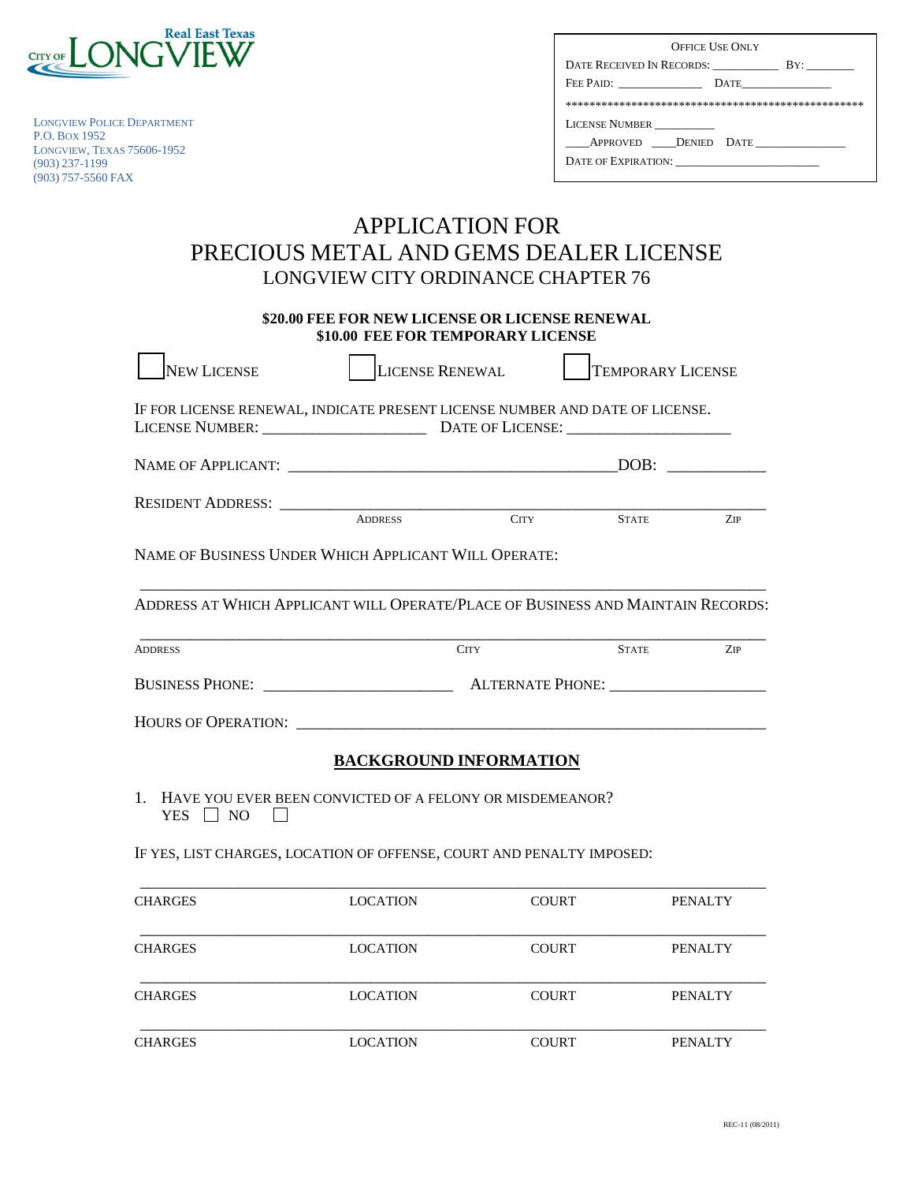

LONGVIEW POLICE DEPARTMENT P.O. BOX 1952 LONGVIEW, TEXAS 75606-1952 (903) 237-1199 (903) 757-5560 FAX

| <b>OFFICE USE ONLY</b>    |  |  |  |  |  |  |
|---------------------------|--|--|--|--|--|--|
| DATE RECEIVED IN RECORDS: |  |  |  |  |  |  |
| FEE PAID:<br>$\Gamma$     |  |  |  |  |  |  |
|                           |  |  |  |  |  |  |
| <b>LICENSE NUMBER</b>     |  |  |  |  |  |  |
| APPROVED DENIED DATE      |  |  |  |  |  |  |
| DATE OF EXPIRATION:       |  |  |  |  |  |  |

## APPLICATION FOR PRECIOUS METAL AND GEMS DEALER LICENSE LONGVIEW CITY ORDINANCE CHAPTER 76

**\$20.00 FEE FOR NEW LICENSE OR LICENSE RENEWAL \$10.00 FEE FOR TEMPORARY LICENSE** 

| <b>NEW LICENSE</b>                                                              | <b>LICENSE RENEWAL</b> |                               | <b>TEMPORARY LICENSE</b> |                |  |
|---------------------------------------------------------------------------------|------------------------|-------------------------------|--------------------------|----------------|--|
| IF FOR LICENSE RENEWAL, INDICATE PRESENT LICENSE NUMBER AND DATE OF LICENSE.    |                        |                               |                          |                |  |
|                                                                                 |                        |                               |                          | DOB:           |  |
| RESIDENT ADDRESS: ADDRESS ADDRESS                                               |                        | <b>CITY</b>                   | <b>STATE</b>             | <b>ZIP</b>     |  |
| NAME OF BUSINESS UNDER WHICH APPLICANT WILL OPERATE:                            |                        |                               |                          |                |  |
| ADDRESS AT WHICH APPLICANT WILL OPERATE/PLACE OF BUSINESS AND MAINTAIN RECORDS: |                        |                               |                          |                |  |
| <b>ADDRESS</b>                                                                  |                        | <b>CITY</b>                   | <b>STATE</b>             | <b>ZIP</b>     |  |
|                                                                                 |                        |                               |                          |                |  |
|                                                                                 |                        |                               |                          |                |  |
|                                                                                 |                        | <b>BACKGROUND INFORMATION</b> |                          |                |  |
| 1. HAVE YOU EVER BEEN CONVICTED OF A FELONY OR MISDEMEANOR?<br>YES $\Box$ NO    |                        |                               |                          |                |  |
| IF YES, LIST CHARGES, LOCATION OF OFFENSE, COURT AND PENALTY IMPOSED:           |                        |                               |                          |                |  |
| <b>CHARGES</b>                                                                  | <b>LOCATION</b>        | <b>COURT</b>                  |                          | <b>PENALTY</b> |  |
| <b>CHARGES</b>                                                                  | <b>LOCATION</b>        | <b>COURT</b>                  |                          | <b>PENALTY</b> |  |
| <b>CHARGES</b>                                                                  | <b>LOCATION</b>        | <b>COURT</b>                  |                          | <b>PENALTY</b> |  |

CHARGES LOCATION COURT PENALTY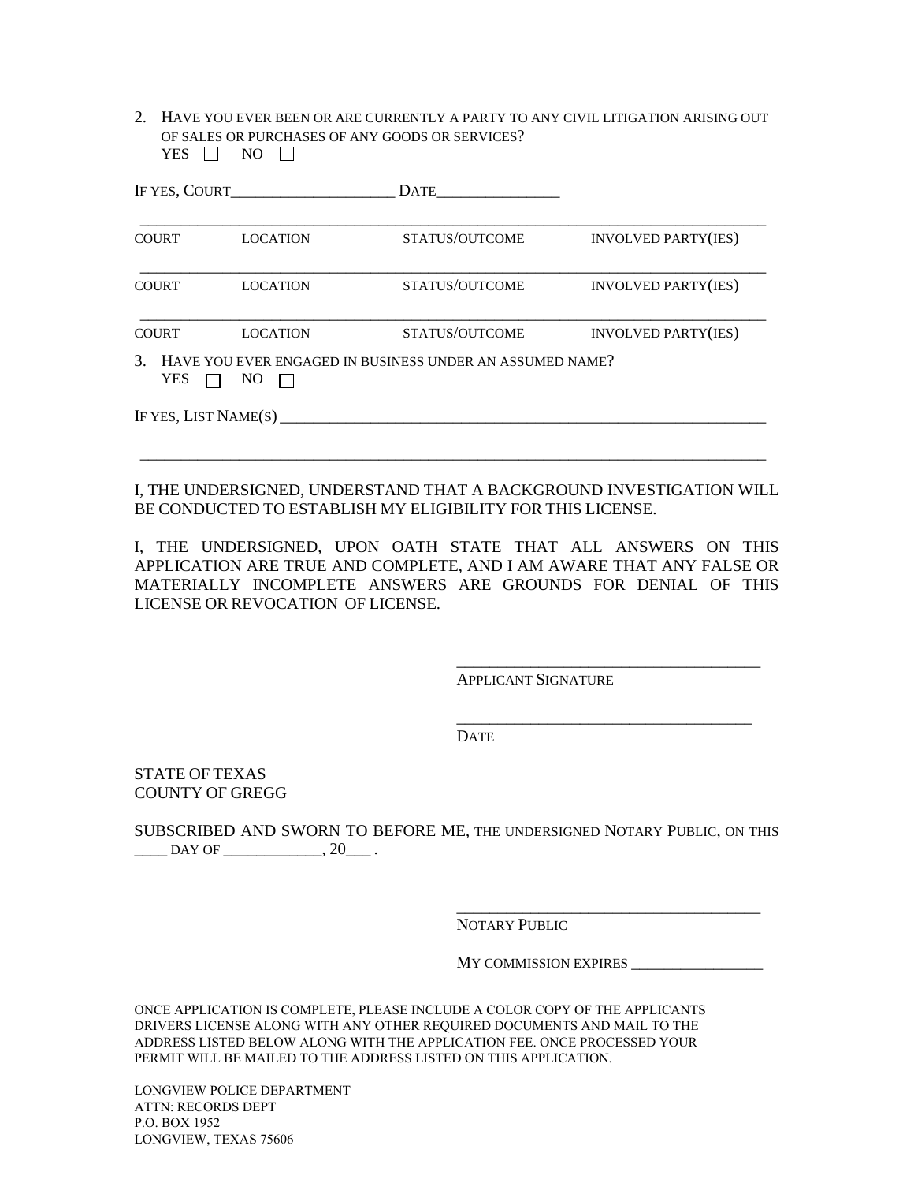2. HAVE YOU EVER BEEN OR ARE CURRENTLY A PARTY TO ANY CIVIL LITIGATION ARISING OUT OF SALES OR PURCHASES OF ANY GOODS OR SERVICES? YES  $\Box$  NO  $\Box$ 

| IF YES, COURT        |                 | <b>DATE</b>                                                 |                            |
|----------------------|-----------------|-------------------------------------------------------------|----------------------------|
| <b>COURT</b>         | <b>LOCATION</b> | STATUS/OUTCOME                                              | <b>INVOLVED PARTY(IES)</b> |
| <b>COURT</b>         | <b>LOCATION</b> | STATUS/OUTCOME                                              | <b>INVOLVED PARTY(IES)</b> |
| <b>COURT</b>         | <b>LOCATION</b> | STATUS/OUTCOME                                              | <b>INVOLVED PARTY(IES)</b> |
| <b>YES</b>           | N <sub>O</sub>  | 3. HAVE YOU EVER ENGAGED IN BUSINESS UNDER AN ASSUMED NAME? |                            |
| IF YES, LIST NAME(S) |                 |                                                             |                            |
|                      |                 |                                                             |                            |

I, THE UNDERSIGNED, UNDERSTAND THAT A BACKGROUND INVESTIGATION WILL BE CONDUCTED TO ESTABLISH MY ELIGIBILITY FOR THIS LICENSE.

I, THE UNDERSIGNED, UPON OATH STATE THAT ALL ANSWERS ON THIS APPLICATION ARE TRUE AND COMPLETE, AND I AM AWARE THAT ANY FALSE OR MATERIALLY INCOMPLETE ANSWERS ARE GROUNDS FOR DENIAL OF THIS LICENSE OR REVOCATION OF LICENSE.

APPLICANT SIGNATURE

DATE

STATE OF TEXAS COUNTY OF GREGG

SUBSCRIBED AND SWORN TO BEFORE ME, THE UNDERSIGNED NOTARY PUBLIC, ON THIS  $\frac{\text{DAY OF}}{\text{DAY OF}}$ .

NOTARY PUBLIC

MY COMMISSION EXPIRES

\_\_\_\_\_\_\_\_\_\_\_\_\_\_\_\_\_\_\_\_\_\_\_\_\_\_\_\_\_\_\_\_\_\_\_\_\_

\_\_\_\_\_\_\_\_\_\_\_\_\_\_\_\_\_\_\_\_\_\_\_\_\_\_\_\_\_\_\_\_\_\_\_\_\_

\_\_\_\_\_\_\_\_\_\_\_\_\_\_\_\_\_\_\_\_\_\_\_\_\_\_\_\_\_\_\_\_\_\_\_\_

ONCE APPLICATION IS COMPLETE, PLEASE INCLUDE A COLOR COPY OF THE APPLICANTS DRIVERS LICENSE ALONG WITH ANY OTHER REQUIRED DOCUMENTS AND MAIL TO THE ADDRESS LISTED BELOW ALONG WITH THE APPLICATION FEE. ONCE PROCESSED YOUR PERMIT WILL BE MAILED TO THE ADDRESS LISTED ON THIS APPLICATION.

LONGVIEW POLICE DEPARTMENT ATTN: RECORDS DEPT P.O. BOX 1952 LONGVIEW, TEXAS 75606